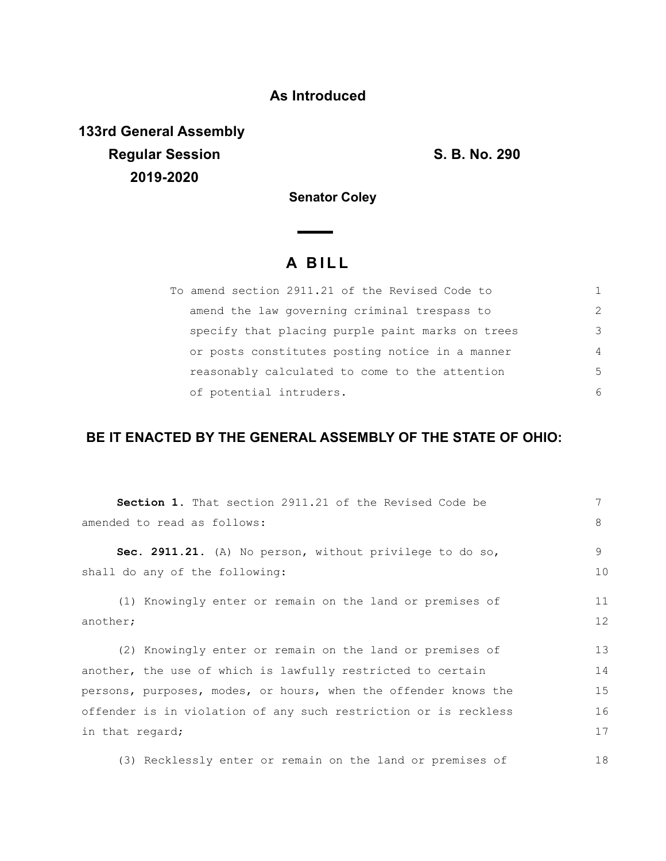## **As Introduced**

**133rd General Assembly Regular Session S. B. No. 290 2019-2020**

**Senator Coley**

## **A B I L L**

| To amend section 2911.21 of the Revised Code to  |               |
|--------------------------------------------------|---------------|
| amend the law governing criminal trespass to     | $\mathcal{L}$ |
| specify that placing purple paint marks on trees | 3             |
| or posts constitutes posting notice in a manner  | 4             |
| reasonably calculated to come to the attention   | .5            |
| of potential intruders.                          | 6             |

## **BE IT ENACTED BY THE GENERAL ASSEMBLY OF THE STATE OF OHIO:**

| <b>Section 1.</b> That section 2911.21 of the Revised Code be   | 7  |  |
|-----------------------------------------------------------------|----|--|
| amended to read as follows:                                     |    |  |
| Sec. 2911.21. (A) No person, without privilege to do so,        | 9  |  |
| shall do any of the following:                                  | 10 |  |
| (1) Knowingly enter or remain on the land or premises of        | 11 |  |
| another;                                                        |    |  |
| (2) Knowingly enter or remain on the land or premises of        | 13 |  |
| another, the use of which is lawfully restricted to certain     | 14 |  |
| persons, purposes, modes, or hours, when the offender knows the | 15 |  |
| offender is in violation of any such restriction or is reckless | 16 |  |
| in that regard;                                                 |    |  |
|                                                                 |    |  |

(3) Recklessly enter or remain on the land or premises of 18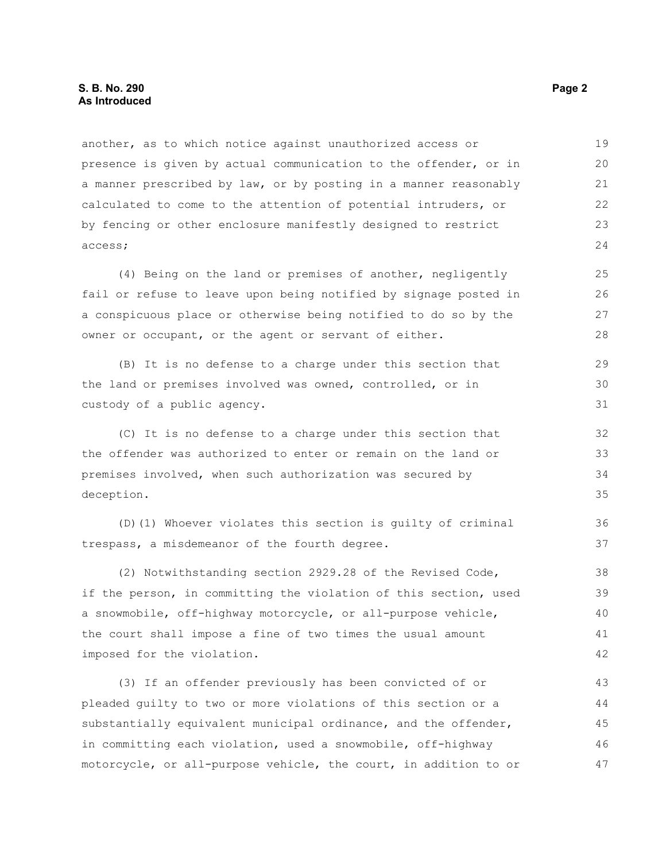another, as to which notice against unauthorized access or presence is given by actual communication to the offender, or in a manner prescribed by law, or by posting in a manner reasonably calculated to come to the attention of potential intruders, or by fencing or other enclosure manifestly designed to restrict access; 19 20 21 22 23 24

(4) Being on the land or premises of another, negligently fail or refuse to leave upon being notified by signage posted in a conspicuous place or otherwise being notified to do so by the owner or occupant, or the agent or servant of either.

(B) It is no defense to a charge under this section that the land or premises involved was owned, controlled, or in custody of a public agency. 29 30 31

(C) It is no defense to a charge under this section that the offender was authorized to enter or remain on the land or premises involved, when such authorization was secured by deception.

(D)(1) Whoever violates this section is guilty of criminal trespass, a misdemeanor of the fourth degree.

(2) Notwithstanding section 2929.28 of the Revised Code, if the person, in committing the violation of this section, used a snowmobile, off-highway motorcycle, or all-purpose vehicle, the court shall impose a fine of two times the usual amount imposed for the violation. 38 39 40 41 42

(3) If an offender previously has been convicted of or pleaded guilty to two or more violations of this section or a substantially equivalent municipal ordinance, and the offender, in committing each violation, used a snowmobile, off-highway motorcycle, or all-purpose vehicle, the court, in addition to or 43 44 45 46 47

36 37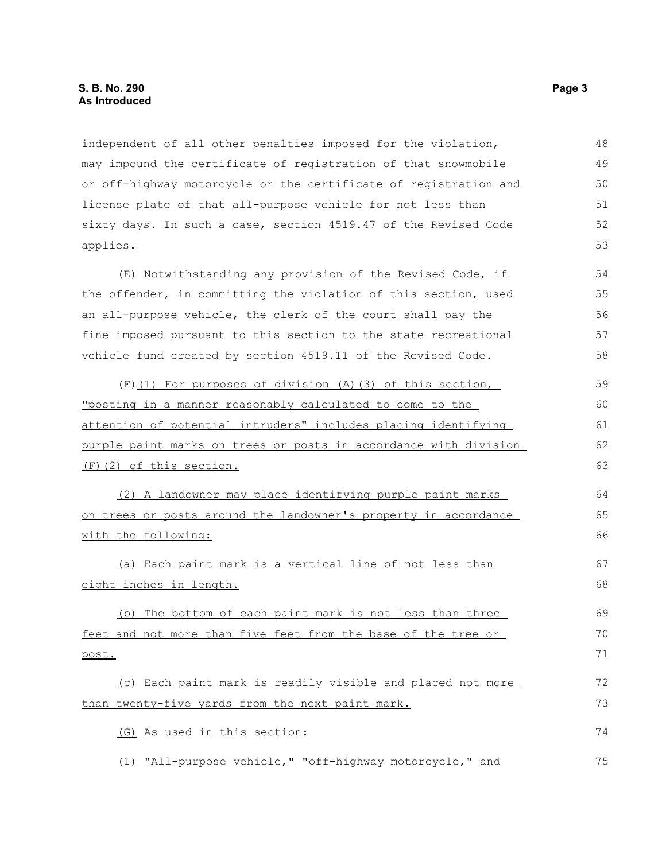independent of all other penalties imposed for the violation, may impound the certificate of registration of that snowmobile or off-highway motorcycle or the certificate of registration and license plate of that all-purpose vehicle for not less than sixty days. In such a case, section 4519.47 of the Revised Code applies. 48 49 50 51 52 53

(E) Notwithstanding any provision of the Revised Code, if the offender, in committing the violation of this section, used an all-purpose vehicle, the clerk of the court shall pay the fine imposed pursuant to this section to the state recreational vehicle fund created by section 4519.11 of the Revised Code. 54 55 56 57 58

(F)(1) For purposes of division (A)(3) of this section, "posting in a manner reasonably calculated to come to the attention of potential intruders" includes placing identifying purple paint marks on trees or posts in accordance with division (F)(2) of this section. 59 60 61

(2) A landowner may place identifying purple paint marks on trees or posts around the landowner's property in accordance with the following:

(a) Each paint mark is a vertical line of not less than eight inches in length.

(b) The bottom of each paint mark is not less than three feet and not more than five feet from the base of the tree or post.

(c) Each paint mark is readily visible and placed not more than twenty-five yards from the next paint mark. 72 73

(G) As used in this section:

(1) "All-purpose vehicle," "off-highway motorcycle," and 75

62 63

64 65 66

67 68

69 70 71

74